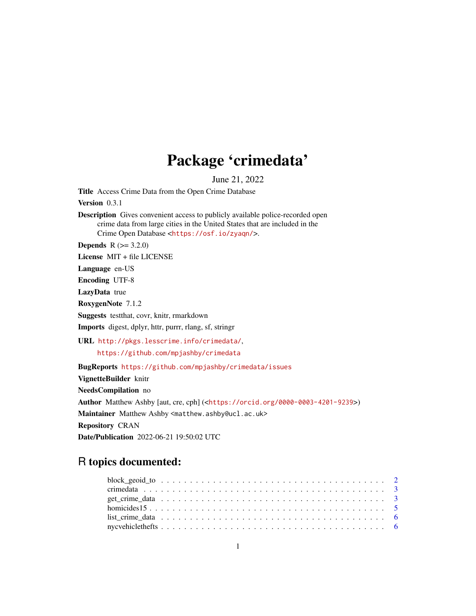## Package 'crimedata'

June 21, 2022

<span id="page-0-0"></span>Title Access Crime Data from the Open Crime Database

Version 0.3.1

Description Gives convenient access to publicly available police-recorded open crime data from large cities in the United States that are included in the Crime Open Database <<https://osf.io/zyaqn/>>.

**Depends**  $R (= 3.2.0)$ 

License MIT + file LICENSE

Language en-US

Encoding UTF-8

LazyData true

RoxygenNote 7.1.2

Suggests testthat, covr, knitr, rmarkdown

Imports digest, dplyr, httr, purrr, rlang, sf, stringr

URL <http://pkgs.lesscrime.info/crimedata/>,

<https://github.com/mpjashby/crimedata>

BugReports <https://github.com/mpjashby/crimedata/issues>

VignetteBuilder knitr

NeedsCompilation no

Author Matthew Ashby [aut, cre, cph] (<<https://orcid.org/0000-0003-4201-9239>>)

Maintainer Matthew Ashby <matthew.ashby@ucl.ac.uk>

Repository CRAN

Date/Publication 2022-06-21 19:50:02 UTC

## R topics documented: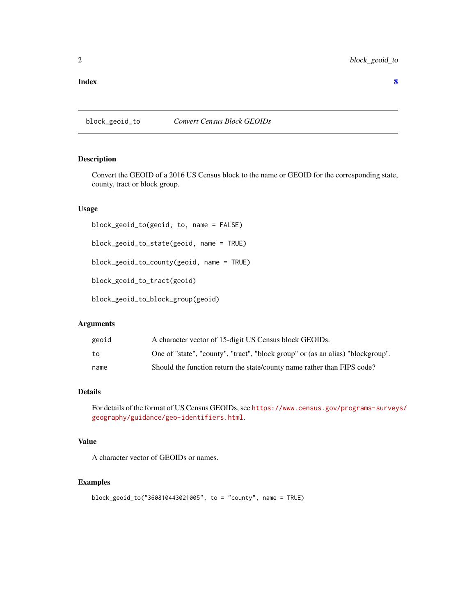#### <span id="page-1-0"></span>**Index** [8](#page-7-0) **8**

block\_geoid\_to *Convert Census Block GEOIDs*

#### Description

Convert the GEOID of a 2016 US Census block to the name or GEOID for the corresponding state, county, tract or block group.

#### Usage

block\_geoid\_to(geoid, to, name = FALSE) block\_geoid\_to\_state(geoid, name = TRUE) block\_geoid\_to\_county(geoid, name = TRUE) block\_geoid\_to\_tract(geoid)

block\_geoid\_to\_block\_group(geoid)

#### Arguments

| geoid | A character vector of 15-digit US Census block GEOIDs.                          |
|-------|---------------------------------------------------------------------------------|
| to    | One of "state", "county", "tract", "block group" or (as an alias) "blockgroup". |
| name  | Should the function return the state/county name rather than FIPS code?         |

## Details

For details of the format of US Census GEOIDs, see [https://www.census.gov/programs-survey](https://www.census.gov/programs-surveys/geography/guidance/geo-identifiers.html)s/ [geography/guidance/geo-identifiers.html](https://www.census.gov/programs-surveys/geography/guidance/geo-identifiers.html).

## Value

A character vector of GEOIDs or names.

#### Examples

```
block_geoid_to("360810443021005", to = "county", name = TRUE)
```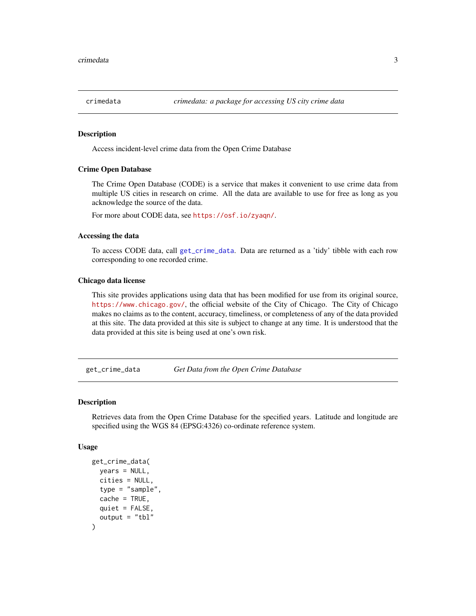<span id="page-2-0"></span>

#### Description

Access incident-level crime data from the Open Crime Database

#### Crime Open Database

The Crime Open Database (CODE) is a service that makes it convenient to use crime data from multiple US cities in research on crime. All the data are available to use for free as long as you acknowledge the source of the data.

For more about CODE data, see <https://osf.io/zyaqn/>.

#### Accessing the data

To access CODE data, call [get\\_crime\\_data](#page-2-1). Data are returned as a 'tidy' tibble with each row corresponding to one recorded crime.

#### Chicago data license

This site provides applications using data that has been modified for use from its original source, <https://www.chicago.gov/>, the official website of the City of Chicago. The City of Chicago makes no claims as to the content, accuracy, timeliness, or completeness of any of the data provided at this site. The data provided at this site is subject to change at any time. It is understood that the data provided at this site is being used at one's own risk.

<span id="page-2-1"></span>get\_crime\_data *Get Data from the Open Crime Database*

#### Description

Retrieves data from the Open Crime Database for the specified years. Latitude and longitude are specified using the WGS 84 (EPSG:4326) co-ordinate reference system.

#### Usage

```
get_crime_data(
 years = NULL,
  cities = NULL,
  type = "sample",
  cache = TRUE,quiet = FALSE,output = "tb1")
```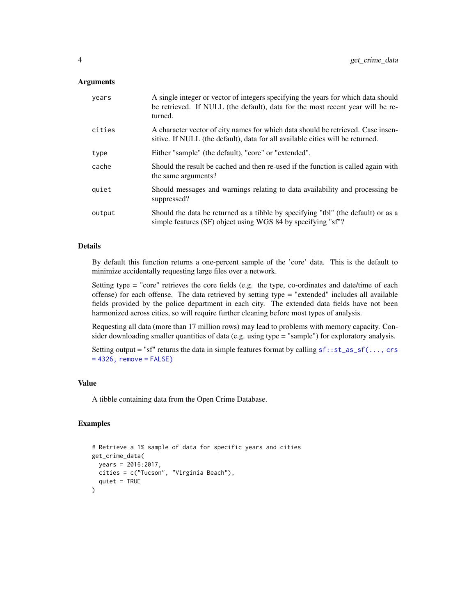#### **Arguments**

| years  | A single integer or vector of integers specifying the years for which data should<br>be retrieved. If NULL (the default), data for the most recent year will be re-<br>turned. |
|--------|--------------------------------------------------------------------------------------------------------------------------------------------------------------------------------|
| cities | A character vector of city names for which data should be retrieved. Case insen-<br>sitive. If NULL (the default), data for all available cities will be returned.             |
| type   | Either "sample" (the default), "core" or "extended".                                                                                                                           |
| cache  | Should the result be cached and then re-used if the function is called again with<br>the same arguments?                                                                       |
| quiet  | Should messages and warnings relating to data availability and processing be<br>suppressed?                                                                                    |
| output | Should the data be returned as a tibble by specifying "tbl" (the default) or as a<br>simple features (SF) object using WGS 84 by specifying "sf"?                              |

#### Details

By default this function returns a one-percent sample of the 'core' data. This is the default to minimize accidentally requesting large files over a network.

Setting type  $=$  "core" retrieves the core fields (e.g. the type, co-ordinates and date/time of each offense) for each offense. The data retrieved by setting type = "extended" includes all available fields provided by the police department in each city. The extended data fields have not been harmonized across cities, so will require further cleaning before most types of analysis.

Requesting all data (more than 17 million rows) may lead to problems with memory capacity. Consider downloading smaller quantities of data (e.g. using type = "sample") for exploratory analysis.

Setting output = "sf" returns the data in simple features format by calling  $sf::st_as_sf(..., crs)$  $sf::st_as_sf(..., crs)$  $= 4326$ , remove = FALSE)

#### Value

A tibble containing data from the Open Crime Database.

## Examples

```
# Retrieve a 1% sample of data for specific years and cities
get_crime_data(
 years = 2016:2017,
 cities = c("Tucson", "Virginia Beach"),
 quiet = TRUE
)
```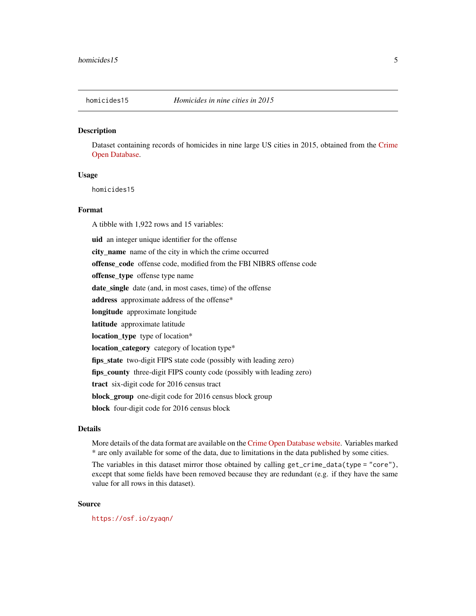#### <span id="page-4-0"></span>**Description**

Dataset containing records of homicides in nine large US cities in 2015, obtained from the [Crime](https://osf.io/zyaqn/) [Open Database.](https://osf.io/zyaqn/)

#### Usage

homicides15

## Format

A tibble with 1,922 rows and 15 variables:

uid an integer unique identifier for the offense city\_name name of the city in which the crime occurred offense\_code offense code, modified from the FBI NIBRS offense code offense\_type offense type name date\_single date (and, in most cases, time) of the offense address approximate address of the offense\* longitude approximate longitude latitude approximate latitude location\_type type of location\* location\_category category of location type\* fips\_state two-digit FIPS state code (possibly with leading zero) fips\_county three-digit FIPS county code (possibly with leading zero) tract six-digit code for 2016 census tract block\_group one-digit code for 2016 census block group block four-digit code for 2016 census block

## Details

More details of the data format are available on the [Crime Open Database website.](https://osf.io/zyaqn/wiki/home/) Variables marked \* are only available for some of the data, due to limitations in the data published by some cities.

The variables in this dataset mirror those obtained by calling get\_crime\_data(type = "core"), except that some fields have been removed because they are redundant (e.g. if they have the same value for all rows in this dataset).

#### Source

<https://osf.io/zyaqn/>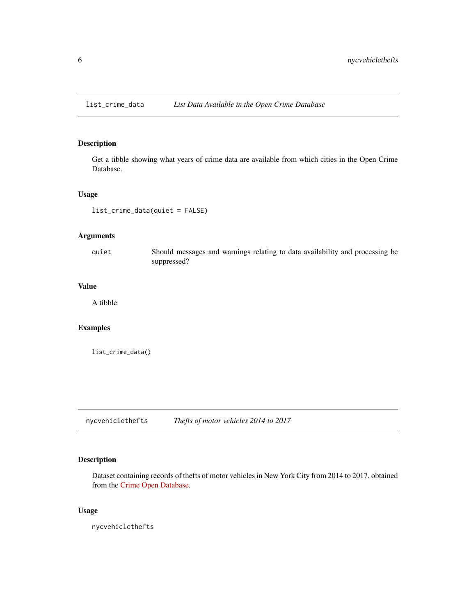<span id="page-5-0"></span>

#### Description

Get a tibble showing what years of crime data are available from which cities in the Open Crime Database.

#### Usage

list\_crime\_data(quiet = FALSE)

## Arguments

quiet Should messages and warnings relating to data availability and processing be suppressed?

## Value

A tibble

#### Examples

list\_crime\_data()

nycvehiclethefts *Thefts of motor vehicles 2014 to 2017*

## Description

Dataset containing records of thefts of motor vehicles in New York City from 2014 to 2017, obtained from the [Crime Open Database.](https://osf.io/zyaqn/)

## Usage

nycvehiclethefts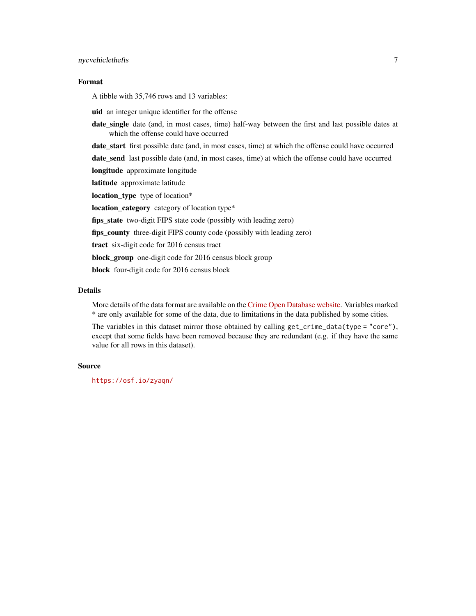#### nycvehiclethefts 7

## Format

A tibble with 35,746 rows and 13 variables:

uid an integer unique identifier for the offense

date\_single date (and, in most cases, time) half-way between the first and last possible dates at which the offense could have occurred

date\_start first possible date (and, in most cases, time) at which the offense could have occurred

date\_send last possible date (and, in most cases, time) at which the offense could have occurred longitude approximate longitude

latitude approximate latitude location\_type type of location\*

location\_category category of location type\*

fips\_state two-digit FIPS state code (possibly with leading zero)

fips\_county three-digit FIPS county code (possibly with leading zero)

tract six-digit code for 2016 census tract

block\_group one-digit code for 2016 census block group

block four-digit code for 2016 census block

#### Details

More details of the data format are available on the [Crime Open Database website.](https://osf.io/zyaqn/wiki/home/) Variables marked \* are only available for some of the data, due to limitations in the data published by some cities.

The variables in this dataset mirror those obtained by calling get\_crime\_data(type = "core"), except that some fields have been removed because they are redundant (e.g. if they have the same value for all rows in this dataset).

#### Source

<https://osf.io/zyaqn/>